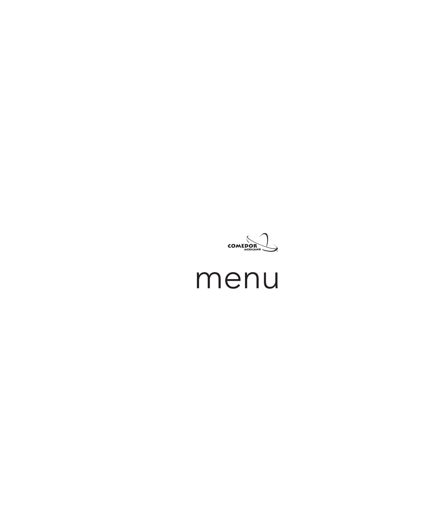

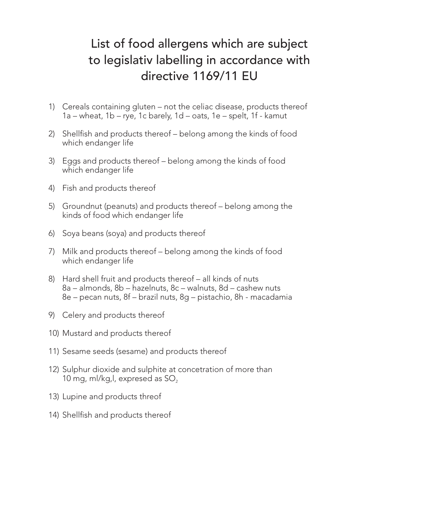## List of food allergens which are subject to legislativ labelling in accordance with directive 1169/11 EU

- 1) Cereals containing gluten not the celiac disease, products thereof 1a – wheat, 1b – rye, 1c barely, 1d – oats, 1e – spelt, 1f - kamut
- 2) Shellfish and products thereof belong among the kinds of food which endanger life
- 3) Eggs and products thereof belong among the kinds of food which endanger life
- 4) Fish and products thereof
- 5) Groundnut (peanuts) and products thereof belong among the kinds of food which endanger life
- 6) Soya beans (soya) and products thereof
- 7) Milk and products thereof belong among the kinds of food which endanger life
- 8) Hard shell fruit and products thereof all kinds of nuts 8a – almonds, 8b – hazelnuts, 8c – walnuts, 8d – cashew nuts 8e – pecan nuts, 8f – brazil nuts, 8g – pistachio, 8h - macadamia
- 9) Celery and products thereof
- 10) Mustard and products thereof
- 11) Sesame seeds (sesame) and products thereof
- 12) Sulphur dioxide and sulphite at concetration of more than 10 mg, ml/kg,l, expresed as  $SO<sub>2</sub>$
- 13) Lupine and products threof
- 14) Shellfish and products thereof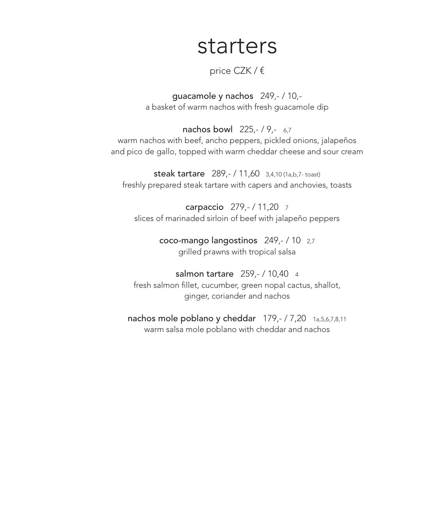## starters

## price CZK / €

guacamole y nachos 249,- / 10, a basket of warm nachos with fresh guacamole dip

nachos bowl 225,-/9,- 6,7 warm nachos with beef, ancho peppers, pickled onions, jalapeños and pico de gallo, topped with warm cheddar cheese and sour cream

steak tartare 289,- / 11,60 3,4,10 (1a,b,7- toast) freshly prepared steak tartare with capers and anchovies, toasts

carpaccio 279,- / 11,20 <sup>7</sup> slices of marinaded sirloin of beef with jalapeño peppers

> coco-mango langostinos 249,- / 10 2,7 grilled prawns with tropical salsa

salmon tartare 259,- / 10,40 4 fresh salmon fillet, cucumber, green nopal cactus, shallot, ginger, coriander and nachos

nachos mole poblano y cheddar 179,- / 7,20 1a,5,6,7,8,11 warm salsa mole poblano with cheddar and nachos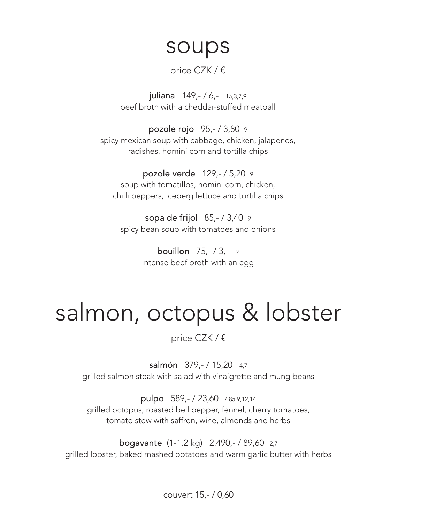# soups

## price CZK / €

juliana 149, - / 6, - 1a, 3, 7, 9 beef broth with a cheddar-stuffed meatball

pozole rojo 95,- / 3,80 <sup>9</sup> spicy mexican soup with cabbage, chicken, jalapenos, radishes, homini corn and tortilla chips

pozole verde 129,- / 5,20 <sup>9</sup> soup with tomatillos, homini corn, chicken, chilli peppers, iceberg lettuce and tortilla chips

sopa de frijol 85,- / 3,40 <sup>9</sup> spicy bean soup with tomatoes and onions

> bouillon 75,- / 3,- <sup>9</sup> intense beef broth with an egg

# salmon, octopus & lobster

## price CZK / €

salmón 379,-/15,20 4,7 grilled salmon steak with salad with vinaigrette and mung beans

pulpo 589,- / 23,60 7,8a,9,12,14 grilled octopus, roasted bell pepper, fennel, cherry tomatoes, tomato stew with saffron, wine, almonds and herbs

bogavante (1-1,2 kg) 2.490,- / 89,60 2,7 grilled lobster, baked mashed potatoes and warm garlic butter with herbs

couvert 15,- / 0,60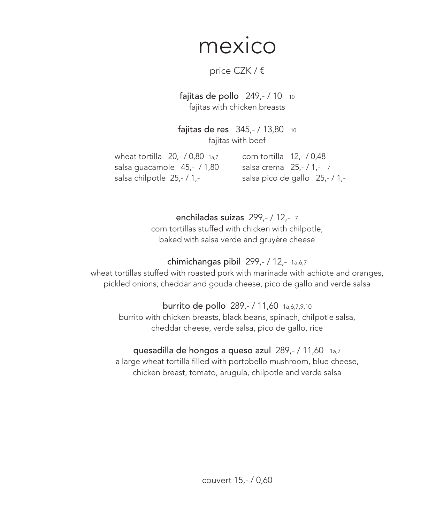## mexico

## price CZK / €

### fajitas de pollo  $249,-/10$  10 fajitas with chicken breasts

fajitas de res 345,- / 13,80 <sup>10</sup> fajitas with beef

wheat tortilla 20,- / 0,80 1a,7 salsa guacamole 45,- / 1,80 salsa chilpotle 25,- / 1,-

corn tortilla 12,- / 0,48 salsa crema 25,-/1,-7 salsa pico de gallo 25,- / 1,-

enchiladas suizas 299,- / 12,- <sup>7</sup> corn tortillas stuffed with chicken with chilpotle,

baked with salsa verde and gruyère cheese

## chimichangas pibil 299,- / 12,- 1a,6,7

wheat tortillas stuffed with roasted pork with marinade with achiote and oranges, pickled onions, cheddar and gouda cheese, pico de gallo and verde salsa

## burrito de pollo 289,- / 11,60 1a,6,7,9,10

burrito with chicken breasts, black beans, spinach, chilpotle salsa, cheddar cheese, verde salsa, pico de gallo, rice

## quesadilla de hongos a queso azul 289,- / 11,60 1a,7

a large wheat tortilla filled with portobello mushroom, blue cheese, chicken breast, tomato, arugula, chilpotle and verde salsa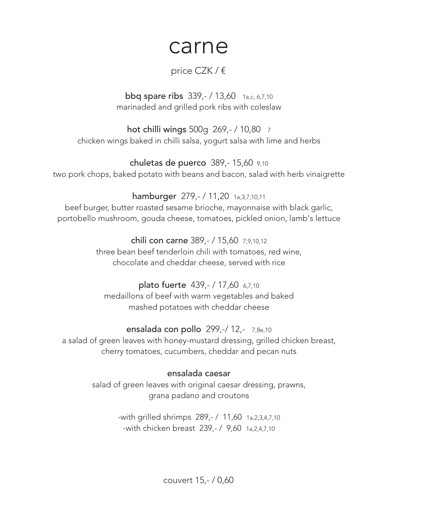## carne

## price CZK / €

**bbq spare ribs** 339,- / 13,60 1<sub>a,c, 6,7,10</sub> marinaded and grilled pork ribs with coleslaw

hot chilli wings 500g 269,- / 10,80 <sup>7</sup> chicken wings baked in chilli salsa, yogurt salsa with lime and herbs

chuletas de puerco 389,- 15,60 9,10 two pork chops, baked potato with beans and bacon, salad with herb vinaigrette

hamburger 279,- / 11,20 1a,3,7,10,11 beef burger, butter roasted sesame brioche, mayonnaise with black garlic, portobello mushroom, gouda cheese, tomatoes, pickled onion, lamb's lettuce

> chili con carne 389,- / 15,60 7,9,10,12 three bean beef tenderloin chili with tomatoes, red wine, chocolate and cheddar cheese, served with rice

### plato fuerte 439,- / 17,60 6,7,10 medaillons of beef with warm vegetables and baked mashed potatoes with cheddar cheese

### ensalada con pollo 299,-/ 12,- 7,8e,10 a salad of green leaves with honey-mustard dressing, grilled chicken breast,

cherry tomatoes, cucumbers, cheddar and pecan nuts

## ensalada caesar

salad of green leaves with original caesar dressing, prawns, grana padano and croutons

> -with grilled shrimps 289,- / 11,60 1a,2,3,4,7,10 -with chicken breast 239,- / 9,60 1a,2,4,7,10

> > couvert 15,- / 0,60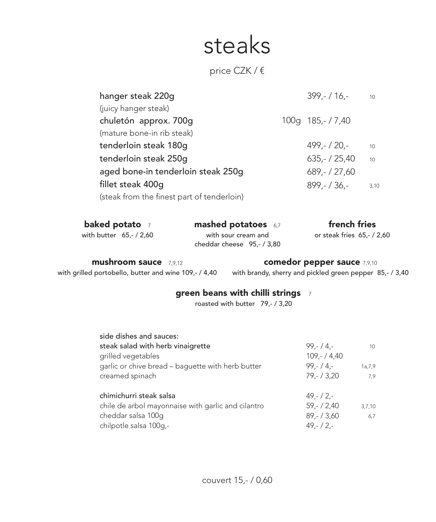# steaks

## price CZK / €

| $399 - 116 -$  | 10                 |
|----------------|--------------------|
|                |                    |
|                |                    |
|                |                    |
| $499,- / 20,-$ | 10                 |
| $635 - 725.40$ | 10                 |
| $689 - 727,60$ |                    |
| $899 - 136 -$  | 3,10               |
|                |                    |
|                | 100g 185, - / 7,40 |

| baked potato            | <b>mashed potatoes</b> 6,7                        | french fries               |
|-------------------------|---------------------------------------------------|----------------------------|
| with butter $65,-/2,60$ | with sour cream and<br>cheddar cheese 95,- / 3,80 | or steak fries 65,- / 2,60 |

#### **mushroom sauce** 7,9,12

with grilled portobello, butter and wine 109,- / 4,40

**comedor pepper sauce** 7,9,10

with brandy, sherry and pickled green pepper 85,- / 3,40

## **green beans with chilli strings** <sup>7</sup>

roasted with butter 79,- / 3,20

| side dishes and sauces:                            |              |        |
|----------------------------------------------------|--------------|--------|
| steak salad with herb vinaigrette                  | $99 - 4 -$   | 10     |
| grilled vegetables                                 | $109 - 4.40$ |        |
| garlic or chive bread - baguette with herb butter  | $99 - 4 -$   | 1a,7,9 |
| creamed spinach                                    | $79 - 73.20$ | 7.9    |
| chimichurri steak salsa                            | $49 - 2 -$   |        |
| chile de arbol mayonnaise with garlic and cilantro | $59 - 72,40$ | 3,7,10 |
| cheddar salsa 100q                                 | $89 - 73,60$ | 6,7    |
| chilpotle salsa 100g,-                             | $49 - 2 -$   |        |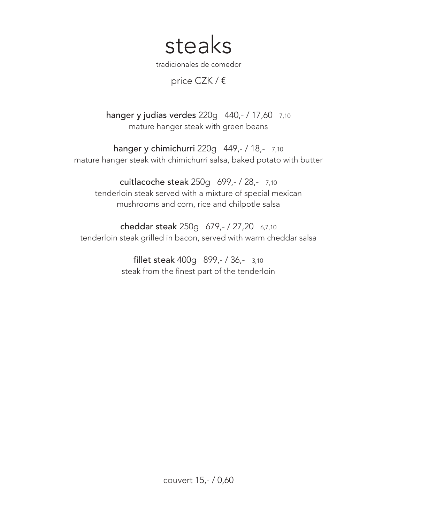steaks

tradicionales de comedor

price CZK / €

hanger y judías verdes 220g 440,- / 17,60 7,10 mature hanger steak with green beans

hanger y chimichurri 220g 449,- / 18,- 7,10 mature hanger steak with chimichurri salsa, baked potato with butter

cuitlacoche steak 250g 699,- / 28,- 7,10 tenderloin steak served with a mixture of special mexican mushrooms and corn, rice and chilpotle salsa

cheddar steak 250g 679,- / 27,20 6,7,10 tenderloin steak grilled in bacon, served with warm cheddar salsa

> fillet steak 400g 899,- / 36,- 3,10 steak from the finest part of the tenderloin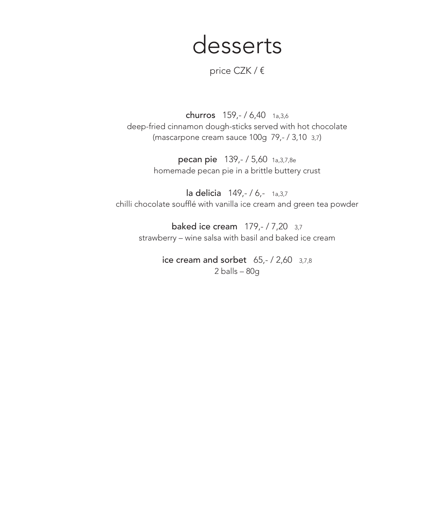## desserts

price CZK / €

churros 159,- / 6,40 1a,3,6 deep-fried cinnamon dough-sticks served with hot chocolate (mascarpone cream sauce 100g 79,- / 3,10 3,7)

> pecan pie 139,- / 5,60 1a,3,7,8e homemade pecan pie in a brittle buttery crust

la delicia 149,- / 6,- 1a,3,7 chilli chocolate soufflé with vanilla ice cream and green tea powder

baked ice cream 179,- / 7,20 3,7 strawberry – wine salsa with basil and baked ice cream

> ice cream and sorbet  $65,- / 2,60$  3,7,8 2 balls – 80g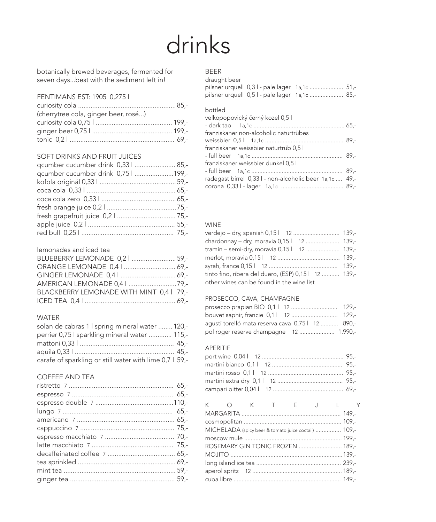# drinks

botanically brewed beverages, fermented for seven days...best with the sediment left in!

#### FENTIMANS EST: 1905 0,275 l

| (cherrytree cola, ginger beer, rosé) |  |
|--------------------------------------|--|
|                                      |  |
|                                      |  |
|                                      |  |

#### SOFT DRINKS AND FRUIT JUICES

| qcumber cucumber drink 0,33    85,- |  |
|-------------------------------------|--|
| qcumber cucumber drink 0,75   199,- |  |
|                                     |  |
|                                     |  |
|                                     |  |
|                                     |  |
|                                     |  |
|                                     |  |
|                                     |  |

#### lemonades and iced tea

| BLUEBERRY LEMONADE 0,2    59,-           |  |
|------------------------------------------|--|
|                                          |  |
|                                          |  |
|                                          |  |
| BLACKBERRY LEMONADE WITH MINT 0,4   79,- |  |
|                                          |  |

#### WATER

| solan de cabras 1 I spring mineral water  120,-         |  |
|---------------------------------------------------------|--|
| perrier 0,75   sparkling mineral water  115,-           |  |
|                                                         |  |
|                                                         |  |
| carafe of sparkling or still water with lime 0,7 l 59,- |  |

#### COFFEE AND TEA

#### BEER

| draught beer |                                               |  |
|--------------|-----------------------------------------------|--|
|              | pilsner urquell 0,31 - pale lager 1a,1c  51,- |  |
|              | pilsner urquell 0,51 - pale lager 1a,1c  85,- |  |

#### bottled

| velkopopovický černý kozel 0,5 l                       |  |
|--------------------------------------------------------|--|
|                                                        |  |
| franziskaner non-alcoholic naturtrübes                 |  |
|                                                        |  |
| franziskaner weissbier naturtrüb 0,5 l                 |  |
|                                                        |  |
| franziskaner weissbier dunkel 0,5 l                    |  |
|                                                        |  |
| radegast birrel 0,331 - non-alcoholic beer 1a,1c  49,- |  |
|                                                        |  |
|                                                        |  |

#### WINE

| verdejo – dry, spanish 0,15 l 12  139,-                 |  |
|---------------------------------------------------------|--|
| chardonnay - dry, moravia 0,151 12  139,-               |  |
| tramín – semi-dry, moravia 0,15 l    12    139,-        |  |
|                                                         |  |
|                                                         |  |
| tinto fino, ribera del duero, (ESP) 0,15 l   12   139,- |  |
| other wines can be found in the wine list               |  |
|                                                         |  |

#### PROSECCO, CAVA, CHAMPAGNE

| bouvet saphir, francie 0,11 12  129,-             |  |
|---------------------------------------------------|--|
| aqustí torelló mata reserva cava 0,75 l 12  890,- |  |
| pol roger reserve champagne 12  1.990,-           |  |

#### APERITIF

| K O K T E J L Y                                      |  |  |  |
|------------------------------------------------------|--|--|--|
|                                                      |  |  |  |
|                                                      |  |  |  |
| MICHELADA (spicy beer & tomato juice coctail)  109,- |  |  |  |
|                                                      |  |  |  |
| ROSEMARY GIN TONIC FROZEN  189,-                     |  |  |  |
|                                                      |  |  |  |
|                                                      |  |  |  |
|                                                      |  |  |  |
|                                                      |  |  |  |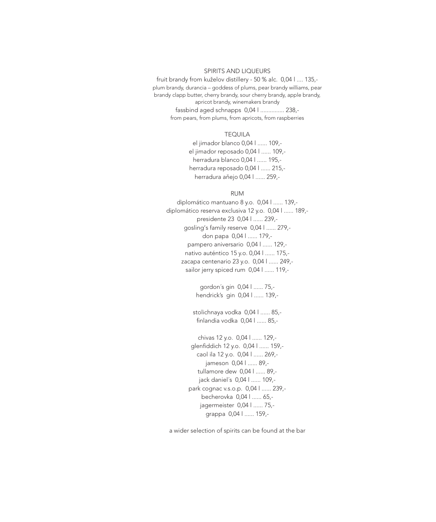#### SPIRITS AND LIQUEURS

fruit brandy from kuželov distillery - 50 % alc. 0,04 l .... 135, plum brandy, durancia – goddess of plums, pear brandy williams, pear brandy clapp butter, cherry brandy, sour cherry brandy, apple brandy, apricot brandy, winemakers brandy fassbind aged schnapps 0,04 l ............... 238, from pears, from plums, from apricots, from raspberries

#### TEQUILA

el jimador blanco 0,04 l ...... 109, el jimador reposado 0,04 l ...... 109, herradura blanco 0,04 l ...... 195, herradura reposado 0,04 l ...... 215, herradura aňejo 0,04 l ...... 259,-

#### RUM

diplomático mantuano 8 y.o. 0,04 l ...... 139, diplomático reserva exclusiva 12 y.o. 0,04 l ...... 189, presidente 23 0,04 l ...... 239, gosling's family reserve 0,04 l ...... 279, don papa 0,04 l ...... 179, pampero aniversario 0,04 l ...... 129, nativo auténtico 15 y.o. 0,04 l ...... 175, zacapa centenario 23 y.o. 0,04 l ...... 249, sailor jerry spiced rum 0,04 l ...... 119,-

> gordon´s gin 0,04 l ...... 75, hendrick's gin 0,04 l ...... 139,-

stolichnaya vodka 0,04 l ...... 85, finlandia vodka 0,04 l ...... 85,-

chivas 12 y.o. 0,04 l ...... 129, glenfiddich 12 y.o. 0,04 l ...... 159, caol ila 12 y.o. 0,04 l ...... 269, jameson 0,04 l ...... 89, tullamore dew 0,04 l ...... 89, jack daniel´s 0,04 l ...... 109, park cognac v.s.o.p. 0,04 l ...... 239, becherovka 0,04 l ...... 65, jagermeister 0,04 l ...... 75, grappa 0,04 l ...... 159,-

a wider selection of spirits can be found at the bar